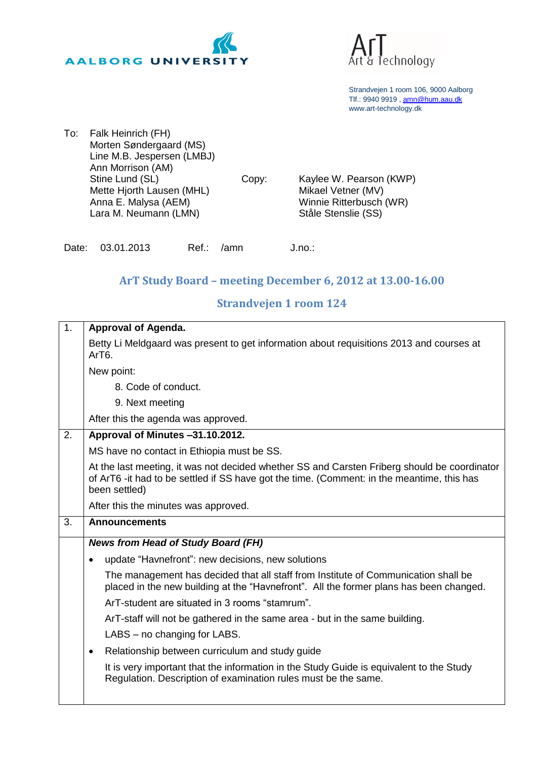



Strandvejen 1 room 106, 9000 Aalborg Tlf.: 9940 9919 , [amn@hum.aau.dk](mailto:amn@hum.aau.dk) www.art-technology.dk

To: Falk Heinrich (FH) Morten Søndergaard (MS) Line M.B. Jespersen (LMBJ) Ann Morrison (AM) Stine Lund (SL) Mette Hjorth Lausen (MHL) Anna E. Malysa (AEM) Lara M. Neumann (LMN)

Copy: Kaylee W. Pearson (KWP) Mikael Vetner (MV) Winnie Ritterbusch (WR) Ståle Stenslie (SS)

Date: 03.01.2013 Ref.: /amn J.no.:

## **ArT Study Board – meeting December 6, 2012 at 13.00-16.00**

## **Strandvejen 1 room 124**

| 1. | Approval of Agenda.                                                                                                                                                                                         |
|----|-------------------------------------------------------------------------------------------------------------------------------------------------------------------------------------------------------------|
|    | Betty Li Meldgaard was present to get information about requisitions 2013 and courses at<br>ArT <sub>6</sub> .                                                                                              |
|    | New point:                                                                                                                                                                                                  |
|    | 8. Code of conduct.                                                                                                                                                                                         |
|    | 9. Next meeting                                                                                                                                                                                             |
|    | After this the agenda was approved.                                                                                                                                                                         |
| 2. | Approval of Minutes -31.10.2012.                                                                                                                                                                            |
|    | MS have no contact in Ethiopia must be SS.                                                                                                                                                                  |
|    | At the last meeting, it was not decided whether SS and Carsten Friberg should be coordinator<br>of ArT6 -it had to be settled if SS have got the time. (Comment: in the meantime, this has<br>been settled) |
|    | After this the minutes was approved.                                                                                                                                                                        |
| 3. | <b>Announcements</b>                                                                                                                                                                                        |
|    | <b>News from Head of Study Board (FH)</b>                                                                                                                                                                   |
|    | update "Havnefront": new decisions, new solutions<br>$\bullet$                                                                                                                                              |
|    | The management has decided that all staff from Institute of Communication shall be<br>placed in the new building at the "Havnefront". All the former plans has been changed.                                |
|    | ArT-student are situated in 3 rooms "stamrum".                                                                                                                                                              |
|    | ArT-staff will not be gathered in the same area - but in the same building.                                                                                                                                 |
|    | LABS - no changing for LABS.                                                                                                                                                                                |
|    | Relationship between curriculum and study guide<br>$\bullet$                                                                                                                                                |
|    | It is very important that the information in the Study Guide is equivalent to the Study<br>Regulation. Description of examination rules must be the same.                                                   |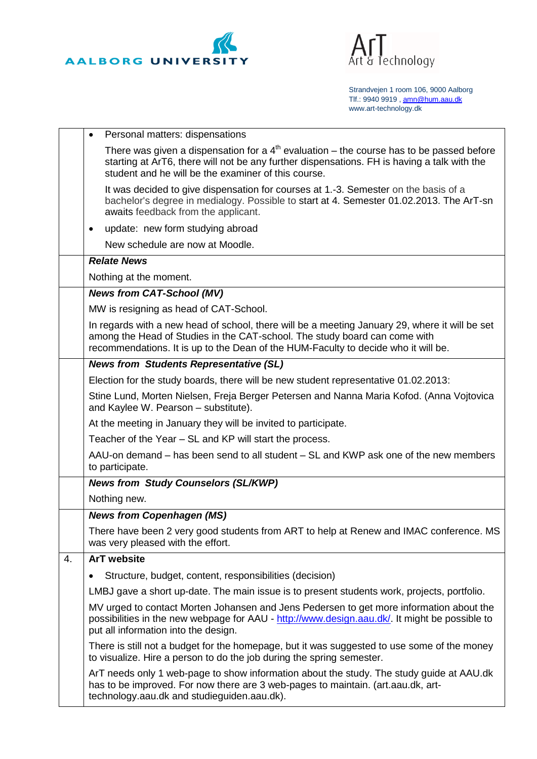



Strandvejen 1 room 106, 9000 Aalborg Tlf.: 9940 9919 , <u>amn@hum.aau.dk</u> www.art-technology.dk

|    | Personal matters: dispensations<br>$\bullet$                                                                                                                                                                                                                       |
|----|--------------------------------------------------------------------------------------------------------------------------------------------------------------------------------------------------------------------------------------------------------------------|
|    | There was given a dispensation for a $4th$ evaluation – the course has to be passed before<br>starting at ArT6, there will not be any further dispensations. FH is having a talk with the<br>student and he will be the examiner of this course.                   |
|    | It was decided to give dispensation for courses at 1.-3. Semester on the basis of a<br>bachelor's degree in medialogy. Possible to start at 4. Semester 01.02.2013. The ArT-sn<br>awaits feedback from the applicant.                                              |
|    | update: new form studying abroad<br>$\bullet$                                                                                                                                                                                                                      |
|    | New schedule are now at Moodle.                                                                                                                                                                                                                                    |
|    | <b>Relate News</b>                                                                                                                                                                                                                                                 |
|    | Nothing at the moment.                                                                                                                                                                                                                                             |
|    | <b>News from CAT-School (MV)</b>                                                                                                                                                                                                                                   |
|    | MW is resigning as head of CAT-School.                                                                                                                                                                                                                             |
|    | In regards with a new head of school, there will be a meeting January 29, where it will be set<br>among the Head of Studies in the CAT-school. The study board can come with<br>recommendations. It is up to the Dean of the HUM-Faculty to decide who it will be. |
|    | <b>News from Students Representative (SL)</b>                                                                                                                                                                                                                      |
|    | Election for the study boards, there will be new student representative 01.02.2013:                                                                                                                                                                                |
|    | Stine Lund, Morten Nielsen, Freja Berger Petersen and Nanna Maria Kofod. (Anna Vojtovica<br>and Kaylee W. Pearson - substitute).                                                                                                                                   |
|    | At the meeting in January they will be invited to participate.                                                                                                                                                                                                     |
|    | Teacher of the Year - SL and KP will start the process.                                                                                                                                                                                                            |
|    | AAU-on demand – has been send to all student – SL and KWP ask one of the new members<br>to participate.                                                                                                                                                            |
|    | <b>News from Study Counselors (SL/KWP)</b>                                                                                                                                                                                                                         |
|    | Nothing new.                                                                                                                                                                                                                                                       |
|    | <b>News from Copenhagen (MS)</b>                                                                                                                                                                                                                                   |
|    | There have been 2 very good students from ART to help at Renew and IMAC conference. MS<br>was very pleased with the effort.                                                                                                                                        |
| 4. | <b>ArT</b> website                                                                                                                                                                                                                                                 |
|    | Structure, budget, content, responsibilities (decision)                                                                                                                                                                                                            |
|    | LMBJ gave a short up-date. The main issue is to present students work, projects, portfolio.                                                                                                                                                                        |
|    | MV urged to contact Morten Johansen and Jens Pedersen to get more information about the<br>possibilities in the new webpage for AAU - http://www.design.aau.dk/. It might be possible to<br>put all information into the design.                                   |
|    | There is still not a budget for the homepage, but it was suggested to use some of the money<br>to visualize. Hire a person to do the job during the spring semester.                                                                                               |
|    | ArT needs only 1 web-page to show information about the study. The study guide at AAU.dk<br>has to be improved. For now there are 3 web-pages to maintain. (art.aau.dk, art-<br>technology.aau.dk and studieguiden.aau.dk).                                        |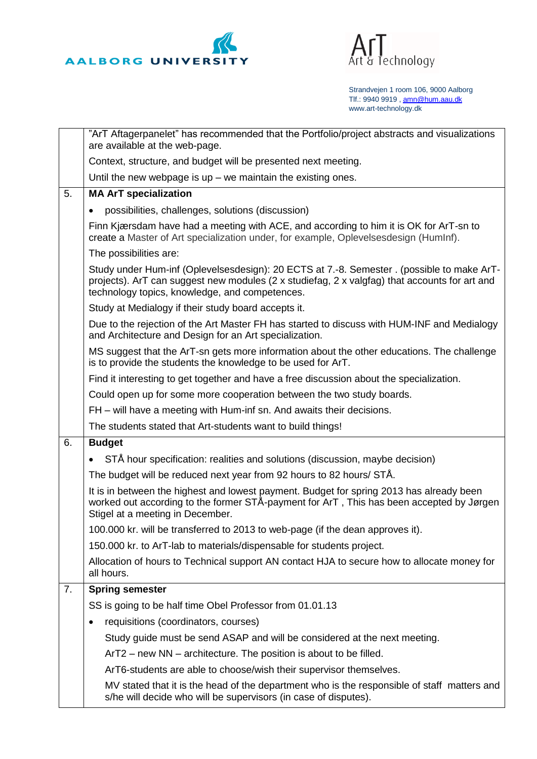



Strandvejen 1 room 106, 9000 Aalborg Tlf.: 9940 9919 , [amn@hum.aau.dk](mailto:amn@hum.aau.dk) www.art-technology.dk

"ArT Aftagerpanelet" has recommended that the Portfolio/project abstracts and visualizations are available at the web-page. Context, structure, and budget will be presented next meeting. Until the new webpage is  $up - we$  maintain the existing ones. 5. **MA ArT specialization** possibilities, challenges, solutions (discussion) Finn Kjærsdam have had a meeting with ACE, and according to him it is OK for ArT-sn to create a Master of Art specialization under, for example, Oplevelsesdesign (HumInf). The possibilities are: Study under Hum-inf (Oplevelsesdesign): 20 ECTS at 7.-8. Semester . (possible to make ArTprojects). ArT can suggest new modules (2 x studiefag, 2 x valgfag) that accounts for art and technology topics, knowledge, and competences. Study at Medialogy if their study board accepts it. Due to the rejection of the Art Master FH has started to discuss with HUM-INF and Medialogy and Architecture and Design for an Art specialization. MS suggest that the ArT-sn gets more information about the other educations. The challenge is to provide the students the knowledge to be used for ArT. Find it interesting to get together and have a free discussion about the specialization. Could open up for some more cooperation between the two study boards. FH – will have a meeting with Hum-inf sn. And awaits their decisions. The students stated that Art-students want to build things! 6. **Budget** STÅ hour specification: realities and solutions (discussion, maybe decision) The budget will be reduced next year from 92 hours to 82 hours/ STÅ. It is in between the highest and lowest payment. Budget for spring 2013 has already been worked out according to the former STÅ-payment for ArT , This has been accepted by Jørgen Stigel at a meeting in December. 100.000 kr. will be transferred to 2013 to web-page (if the dean approves it). 150.000 kr. to ArT-lab to materials/dispensable for students project. Allocation of hours to Technical support AN contact HJA to secure how to allocate money for all hours. 7. **Spring semester** SS is going to be half time Obel Professor from 01.01.13 requisitions (coordinators, courses) Study guide must be send ASAP and will be considered at the next meeting. ArT2 – new NN – architecture. The position is about to be filled. ArT6-students are able to choose/wish their supervisor themselves. MV stated that it is the head of the department who is the responsible of staff matters and s/he will decide who will be supervisors (in case of disputes).